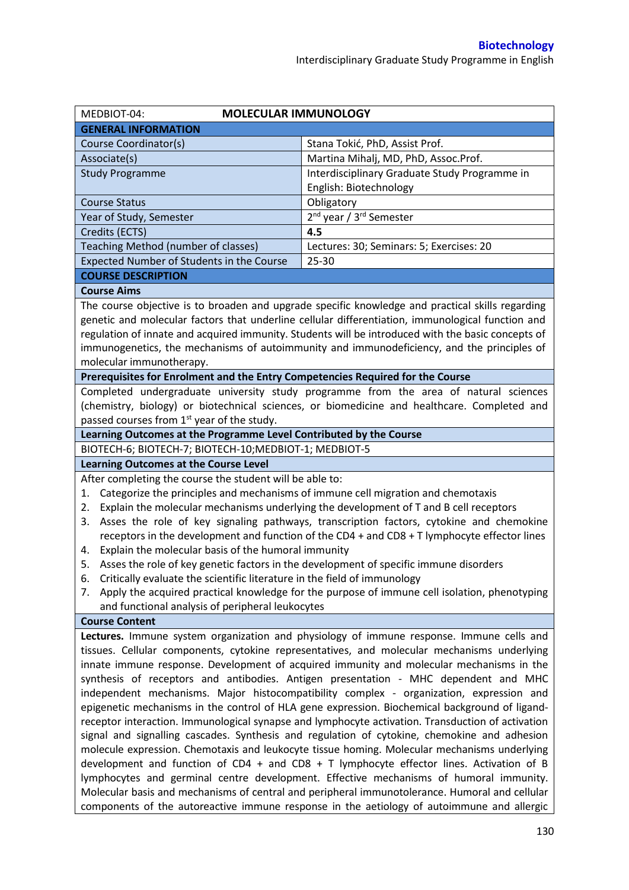| MEDBIOT-04:                                                                                       | <b>MOLECULAR IMMUNOLOGY</b>                                                                                                                                                               |  |  |  |  |
|---------------------------------------------------------------------------------------------------|-------------------------------------------------------------------------------------------------------------------------------------------------------------------------------------------|--|--|--|--|
| <b>GENERAL INFORMATION</b>                                                                        |                                                                                                                                                                                           |  |  |  |  |
| Course Coordinator(s)                                                                             | Stana Tokić, PhD, Assist Prof.                                                                                                                                                            |  |  |  |  |
| Associate(s)                                                                                      | Martina Mihalj, MD, PhD, Assoc.Prof.                                                                                                                                                      |  |  |  |  |
| <b>Study Programme</b>                                                                            | Interdisciplinary Graduate Study Programme in                                                                                                                                             |  |  |  |  |
|                                                                                                   | English: Biotechnology                                                                                                                                                                    |  |  |  |  |
| <b>Course Status</b>                                                                              | Obligatory                                                                                                                                                                                |  |  |  |  |
| Year of Study, Semester                                                                           | 2 <sup>nd</sup> year / 3 <sup>rd</sup> Semester                                                                                                                                           |  |  |  |  |
| Credits (ECTS)                                                                                    | 4.5                                                                                                                                                                                       |  |  |  |  |
| Teaching Method (number of classes)                                                               | Lectures: 30; Seminars: 5; Exercises: 20                                                                                                                                                  |  |  |  |  |
| Expected Number of Students in the Course                                                         | 25-30                                                                                                                                                                                     |  |  |  |  |
| <b>COURSE DESCRIPTION</b>                                                                         |                                                                                                                                                                                           |  |  |  |  |
| <b>Course Aims</b>                                                                                |                                                                                                                                                                                           |  |  |  |  |
|                                                                                                   | The course objective is to broaden and upgrade specific knowledge and practical skills regarding                                                                                          |  |  |  |  |
|                                                                                                   | genetic and molecular factors that underline cellular differentiation, immunological function and                                                                                         |  |  |  |  |
|                                                                                                   | regulation of innate and acquired immunity. Students will be introduced with the basic concepts of                                                                                        |  |  |  |  |
|                                                                                                   | immunogenetics, the mechanisms of autoimmunity and immunodeficiency, and the principles of                                                                                                |  |  |  |  |
| molecular immunotherapy.                                                                          |                                                                                                                                                                                           |  |  |  |  |
| Prerequisites for Enrolment and the Entry Competencies Required for the Course                    |                                                                                                                                                                                           |  |  |  |  |
|                                                                                                   | Completed undergraduate university study programme from the area of natural sciences                                                                                                      |  |  |  |  |
|                                                                                                   | (chemistry, biology) or biotechnical sciences, or biomedicine and healthcare. Completed and                                                                                               |  |  |  |  |
| passed courses from 1 <sup>st</sup> year of the study.                                            |                                                                                                                                                                                           |  |  |  |  |
| Learning Outcomes at the Programme Level Contributed by the Course                                |                                                                                                                                                                                           |  |  |  |  |
| BIOTECH-6; BIOTECH-7; BIOTECH-10; MEDBIOT-1; MEDBIOT-5                                            |                                                                                                                                                                                           |  |  |  |  |
| <b>Learning Outcomes at the Course Level</b>                                                      |                                                                                                                                                                                           |  |  |  |  |
| After completing the course the student will be able to:                                          |                                                                                                                                                                                           |  |  |  |  |
| Categorize the principles and mechanisms of immune cell migration and chemotaxis<br>1.            |                                                                                                                                                                                           |  |  |  |  |
| Explain the molecular mechanisms underlying the development of T and B cell receptors<br>2.       |                                                                                                                                                                                           |  |  |  |  |
|                                                                                                   |                                                                                                                                                                                           |  |  |  |  |
|                                                                                                   |                                                                                                                                                                                           |  |  |  |  |
| 3.                                                                                                | Asses the role of key signaling pathways, transcription factors, cytokine and chemokine                                                                                                   |  |  |  |  |
| 4.                                                                                                | receptors in the development and function of the CD4 + and CD8 + T lymphocyte effector lines                                                                                              |  |  |  |  |
| Explain the molecular basis of the humoral immunity                                               |                                                                                                                                                                                           |  |  |  |  |
| Asses the role of key genetic factors in the development of specific immune disorders<br>5.<br>6. |                                                                                                                                                                                           |  |  |  |  |
| Critically evaluate the scientific literature in the field of immunology<br>7.                    |                                                                                                                                                                                           |  |  |  |  |
|                                                                                                   | Apply the acquired practical knowledge for the purpose of immune cell isolation, phenotyping                                                                                              |  |  |  |  |
| and functional analysis of peripheral leukocytes<br><b>Course Content</b>                         |                                                                                                                                                                                           |  |  |  |  |
|                                                                                                   |                                                                                                                                                                                           |  |  |  |  |
|                                                                                                   | Lectures. Immune system organization and physiology of immune response. Immune cells and                                                                                                  |  |  |  |  |
|                                                                                                   | tissues. Cellular components, cytokine representatives, and molecular mechanisms underlying                                                                                               |  |  |  |  |
|                                                                                                   | innate immune response. Development of acquired immunity and molecular mechanisms in the                                                                                                  |  |  |  |  |
|                                                                                                   | synthesis of receptors and antibodies. Antigen presentation - MHC dependent and MHC                                                                                                       |  |  |  |  |
|                                                                                                   | independent mechanisms. Major histocompatibility complex - organization, expression and<br>epigenetic mechanisms in the control of HLA gene expression. Biochemical background of ligand- |  |  |  |  |
|                                                                                                   | receptor interaction. Immunological synapse and lymphocyte activation. Transduction of activation                                                                                         |  |  |  |  |
|                                                                                                   | signal and signalling cascades. Synthesis and regulation of cytokine, chemokine and adhesion                                                                                              |  |  |  |  |
|                                                                                                   | molecule expression. Chemotaxis and leukocyte tissue homing. Molecular mechanisms underlying                                                                                              |  |  |  |  |
|                                                                                                   | development and function of CD4 + and CD8 + T lymphocyte effector lines. Activation of B                                                                                                  |  |  |  |  |
|                                                                                                   | lymphocytes and germinal centre development. Effective mechanisms of humoral immunity.                                                                                                    |  |  |  |  |
|                                                                                                   | Molecular basis and mechanisms of central and peripheral immunotolerance. Humoral and cellular                                                                                            |  |  |  |  |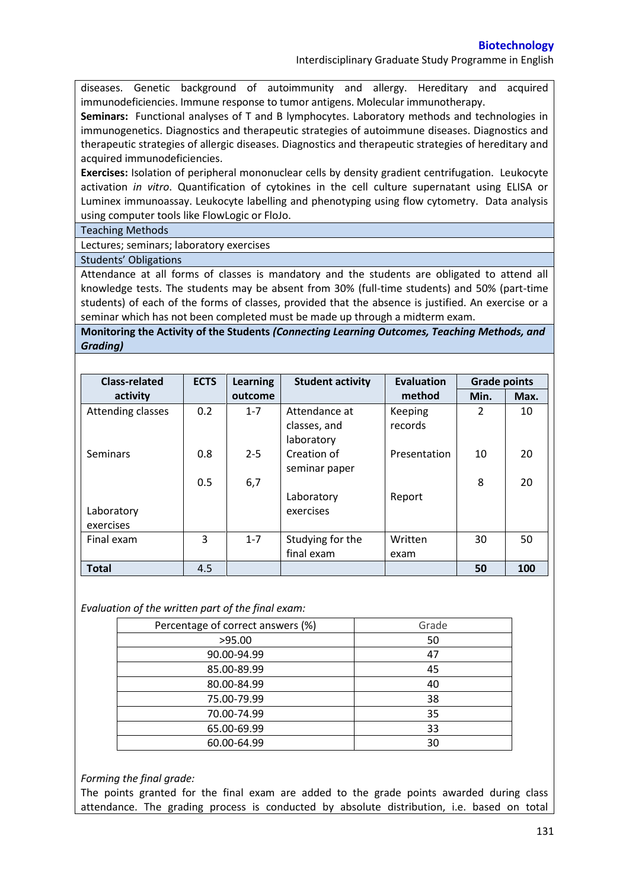Interdisciplinary Graduate Study Programme in English

diseases. Genetic background of autoimmunity and allergy. Hereditary and acquired immunodeficiencies. Immune response to tumor antigens. Molecular immunotherapy.

**Seminars:** Functional analyses of T and B lymphocytes. Laboratory methods and technologies in immunogenetics. Diagnostics and therapeutic strategies of autoimmune diseases. Diagnostics and therapeutic strategies of allergic diseases. Diagnostics and therapeutic strategies of hereditary and acquired immunodeficiencies.

**Exercises:** Isolation of peripheral mononuclear cells by density gradient centrifugation. Leukocyte activation *in vitro*. Quantification of cytokines in the cell culture supernatant using ELISA or Luminex immunoassay. Leukocyte labelling and phenotyping using flow cytometry. Data analysis using computer tools like FlowLogic or FloJo.

Teaching Methods

Lectures; seminars; laboratory exercises

Students' Obligations

Attendance at all forms of classes is mandatory and the students are obligated to attend all knowledge tests. The students may be absent from 30% (full-time students) and 50% (part-time students) of each of the forms of classes, provided that the absence is justified. An exercise or a seminar which has not been completed must be made up through a midterm exam.

**Monitoring the Activity of the Students** *(Connecting Learning Outcomes, Teaching Methods, and Grading)*

| <b>Class-related</b>    | <b>ECTS</b> | <b>Learning</b> | <b>Student activity</b>                     | Evaluation         | <b>Grade points</b> |      |
|-------------------------|-------------|-----------------|---------------------------------------------|--------------------|---------------------|------|
| activity                |             | outcome         |                                             | method             | Min.                | Max. |
| Attending classes       | 0.2         | $1 - 7$         | Attendance at<br>classes, and<br>laboratory | Keeping<br>records | $\mathcal{P}$       | 10   |
| <b>Seminars</b>         | 0.8         | $2 - 5$         | Creation of<br>seminar paper                | Presentation       | 10                  | 20   |
| Laboratory<br>exercises | 0.5         | 6,7             | Laboratory<br>exercises                     | Report             | 8                   | 20   |
| Final exam              | 3           | $1 - 7$         | Studying for the<br>final exam              | Written<br>exam    | 30                  | 50   |
| <b>Total</b>            | 4.5         |                 |                                             |                    | 50                  | 100  |

*Evaluation of the written part of the final exam:*

| Percentage of correct answers (%) | Grade |
|-----------------------------------|-------|
| >95.00                            | 50    |
| 90.00-94.99                       | 47    |
| 85.00-89.99                       | 45    |
| 80.00-84.99                       | 40    |
| 75.00-79.99                       | 38    |
| 70.00-74.99                       | 35    |
| 65.00-69.99                       | 33    |
| 60.00-64.99                       | 30    |

*Forming the final grade:*

The points granted for the final exam are added to the grade points awarded during class attendance. The grading process is conducted by absolute distribution, i.e. based on total